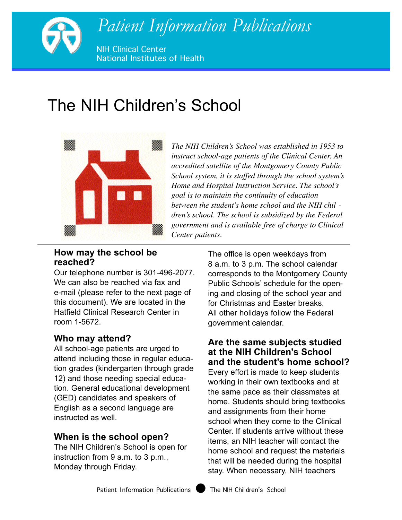

# The NIH Children's School



*The NIH Children's School was established in 1953 to instruct school-age patients of the Clinical Center. An accredited satellite of the Montgomery County Public School system, it is staffed through the school system's Home and Hospital Instruction Service. The school's goal is to maintain the continuity of education between the student's home school and the NIH chil dren's school. The school is subsidized by the Federal government and is available free of charge to Clinical Center patients.* 

### **How may the school be reached?**

Our telephone number is 301-496-2077. We can also be reached via fax and e-mail (please refer to the next page of this document). We are located in the Hatfield Clinical Research Center in room 1-5672.

# **Who may attend?**

All school-age patients are urged to attend including those in regular education grades (kindergarten through grade 12) and those needing special education. General educational development (GED) candidates and speakers of English as a second language are instructed as well.

# **When is the school open?**

The NIH Children's School is open for instruction from 9 a.m. to 3 p.m., Monday through Friday.

The office is open weekdays from 8 a.m. to 3 p.m. The school calendar corresponds to the Montgomery County Public Schools' schedule for the opening and closing of the school year and for Christmas and Easter breaks. All other holidays follow the Federal government calendar.

### **Are the same subjects studied at the NIH Children's School and the student's home school?**

Every effort is made to keep students working in their own textbooks and at the same pace as their classmates at home. Students should bring textbooks and assignments from their home school when they come to the Clinical Center. If students arrive without these items, an NIH teacher will contact the home school and request the materials that will be needed during the hospital stay. When necessary, NIH teachers